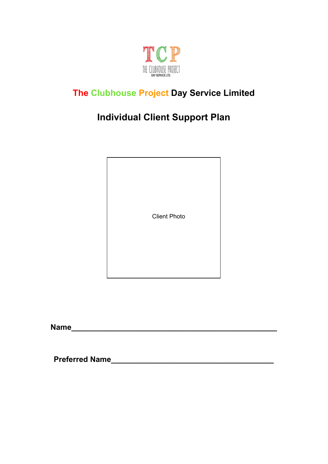

# **The Clubhouse Project Day Service Limited**

# **Individual Client Support Plan**

Client Photo

**Name** 

**Preferred Name\_\_\_\_\_\_\_\_\_\_\_\_\_\_\_\_\_\_\_\_\_\_\_\_\_\_\_\_\_\_\_\_\_\_\_\_\_\_**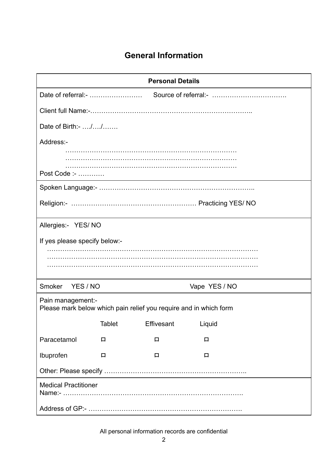# **General Information**

| <b>Personal Details</b>                                                                |               |            |               |  |
|----------------------------------------------------------------------------------------|---------------|------------|---------------|--|
|                                                                                        |               |            |               |  |
|                                                                                        |               |            |               |  |
| Date of Birth:- //                                                                     |               |            |               |  |
| Address:-                                                                              |               |            |               |  |
|                                                                                        |               |            |               |  |
|                                                                                        |               |            |               |  |
| Post Code :-                                                                           |               |            |               |  |
|                                                                                        |               |            |               |  |
|                                                                                        |               |            |               |  |
| Allergies:- YES/NO                                                                     |               |            |               |  |
| If yes please specify below:-                                                          |               |            |               |  |
|                                                                                        |               |            |               |  |
|                                                                                        |               |            |               |  |
|                                                                                        |               |            |               |  |
| Smoker<br>YES / NO                                                                     |               |            | Vape YES / NO |  |
| Pain management:-<br>Please mark below which pain relief you require and in which form |               |            |               |  |
|                                                                                        | <b>Tablet</b> | Effivesant | Liquid        |  |
|                                                                                        |               |            |               |  |
| Paracetamol                                                                            | 口             | 口          | 口             |  |
| Ibuprofen                                                                              | 口             | 口          | 口             |  |
|                                                                                        |               |            |               |  |
| <b>Medical Practitioner</b>                                                            |               |            |               |  |
|                                                                                        |               |            |               |  |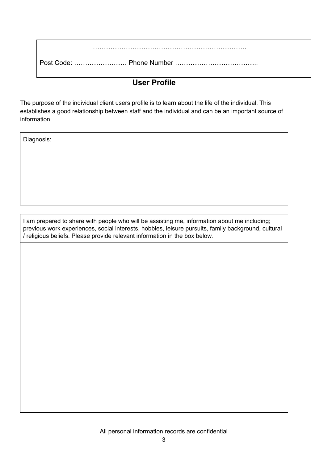#### **User Profile**

The purpose of the individual client users profile is to learn about the life of the individual. This establishes a good relationship between staff and the individual and can be an important source of information

Diagnosis:

I am prepared to share with people who will be assisting me, information about me including; previous work experiences, social interests, hobbies, leisure pursuits, family background, cultural / religious beliefs. Please provide relevant information in the box below.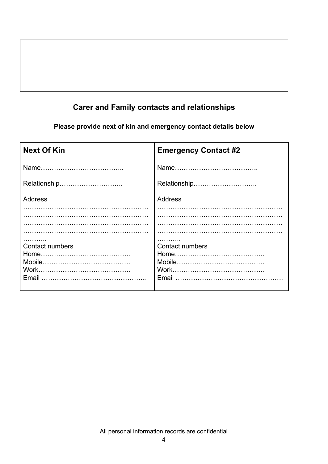## **Carer and Family contacts and relationships**

**Please provide next of kin and emergency contact details below**

| <b>Emergency Contact #2</b>     |
|---------------------------------|
|                                 |
| Relationship                    |
| <b>Address</b>                  |
|                                 |
|                                 |
| <b>Contact numbers</b><br>Email |
|                                 |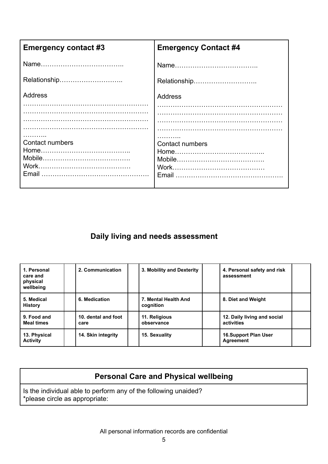| <b>Emergency contact #3</b> | <b>Emergency Contact #4</b> |
|-----------------------------|-----------------------------|
|                             |                             |
| Relationship                |                             |
| Address                     | <b>Address</b>              |
|                             |                             |
| <b>Contact numbers</b>      | <b>Contact numbers</b>      |

#### **Daily living and needs assessment**

| 1. Personal<br>care and<br>physical<br>wellbeing | 2. Communication            | 3. Mobility and Dexterity         | 4. Personal safety and risk<br>assessment |
|--------------------------------------------------|-----------------------------|-----------------------------------|-------------------------------------------|
| 5. Medical<br><b>History</b>                     | 6. Medication               | 7. Mental Health And<br>cognition | 8. Diet and Weight                        |
| 9. Food and<br><b>Meal times</b>                 | 10. dental and foot<br>care | 11. Religious<br>observance       | 12. Daily living and social<br>activities |
| 13. Physical<br><b>Activity</b>                  | 14. Skin integrity          | 15. Sexuality                     | <b>16.Support Plan User</b><br>Agreement  |

#### **Personal Care and Physical wellbeing**

Is the individual able to perform any of the following unaided? \*please circle as appropriate: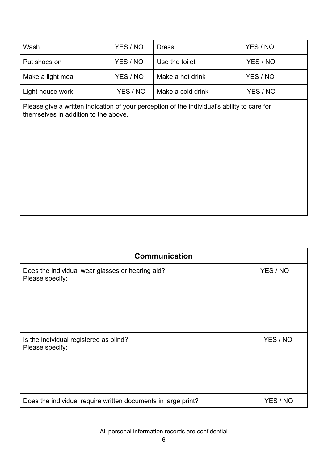| Wash              | YES / NO | <b>Dress</b>      | YES / NO |
|-------------------|----------|-------------------|----------|
| Put shoes on      | YES / NO | Use the toilet    | YES / NO |
| Make a light meal | YES / NO | Make a hot drink  | YES / NO |
| Light house work  | YES / NO | Make a cold drink | YES / NO |

Please give a written indication of your perception of the individual's ability to care for themselves in addition to the above.

| <b>Communication</b>                                                |          |  |  |
|---------------------------------------------------------------------|----------|--|--|
| Does the individual wear glasses or hearing aid?<br>Please specify: | YES / NO |  |  |
| Is the individual registered as blind?<br>Please specify:           | YES / NO |  |  |
| Does the individual require written documents in large print?       | YES / NO |  |  |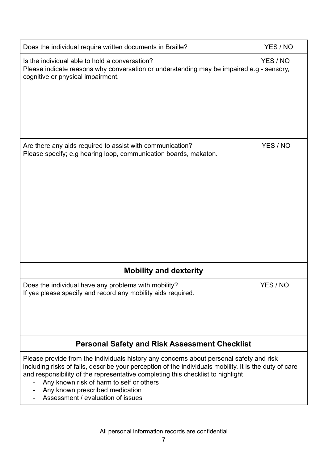| Does the individual require written documents in Braille?                                                                                                                                                                                                                                                                                                                                                | YES / NO |
|----------------------------------------------------------------------------------------------------------------------------------------------------------------------------------------------------------------------------------------------------------------------------------------------------------------------------------------------------------------------------------------------------------|----------|
| Is the individual able to hold a conversation?<br>Please indicate reasons why conversation or understanding may be impaired e.g - sensory,<br>cognitive or physical impairment.                                                                                                                                                                                                                          | YES / NO |
| Are there any aids required to assist with communication?<br>Please specify; e.g hearing loop, communication boards, makaton.                                                                                                                                                                                                                                                                            | YES / NO |
|                                                                                                                                                                                                                                                                                                                                                                                                          |          |
| <b>Mobility and dexterity</b>                                                                                                                                                                                                                                                                                                                                                                            |          |
| Does the individual have any problems with mobility?<br>If yes please specify and record any mobility aids required.                                                                                                                                                                                                                                                                                     | YES / NO |
| <b>Personal Safety and Risk Assessment Checklist</b>                                                                                                                                                                                                                                                                                                                                                     |          |
| Please provide from the individuals history any concerns about personal safety and risk<br>including risks of falls, describe your perception of the individuals mobility. It is the duty of care<br>and responsibility of the representative completing this checklist to highlight<br>Any known risk of harm to self or others<br>Any known prescribed medication<br>Assessment / evaluation of issues |          |
| All personal information records are confidential                                                                                                                                                                                                                                                                                                                                                        |          |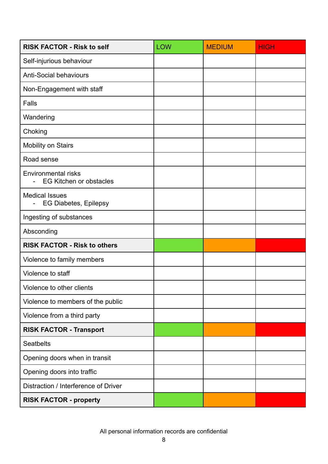| <b>RISK FACTOR - Risk to self</b>                                       | <b>LOW</b> | <b>MEDIUM</b> | <b>HIGH</b> |
|-------------------------------------------------------------------------|------------|---------------|-------------|
| Self-injurious behaviour                                                |            |               |             |
| <b>Anti-Social behaviours</b>                                           |            |               |             |
| Non-Engagement with staff                                               |            |               |             |
| Falls                                                                   |            |               |             |
| Wandering                                                               |            |               |             |
| Choking                                                                 |            |               |             |
| <b>Mobility on Stairs</b>                                               |            |               |             |
| Road sense                                                              |            |               |             |
| <b>Environmental risks</b><br><b>EG Kitchen or obstacles</b>            |            |               |             |
| <b>Medical Issues</b><br><b>EG Diabetes, Epilepsy</b><br>$\blacksquare$ |            |               |             |
| Ingesting of substances                                                 |            |               |             |
| Absconding                                                              |            |               |             |
| <b>RISK FACTOR - Risk to others</b>                                     |            |               |             |
| Violence to family members                                              |            |               |             |
| Violence to staff                                                       |            |               |             |
| Violence to other clients                                               |            |               |             |
| Violence to members of the public                                       |            |               |             |
| Violence from a third party                                             |            |               |             |
| <b>RISK FACTOR - Transport</b>                                          |            |               |             |
| <b>Seatbelts</b>                                                        |            |               |             |
| Opening doors when in transit                                           |            |               |             |
| Opening doors into traffic                                              |            |               |             |
| Distraction / Interference of Driver                                    |            |               |             |
| <b>RISK FACTOR - property</b>                                           |            |               |             |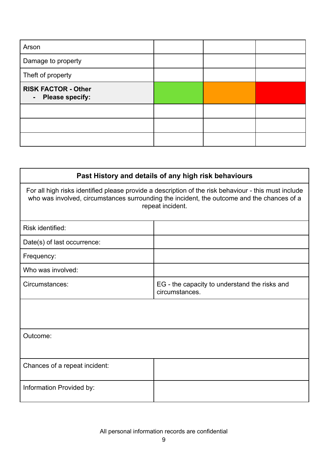| Arson                                                                  |  |  |
|------------------------------------------------------------------------|--|--|
| Damage to property                                                     |  |  |
| Theft of property                                                      |  |  |
| <b>RISK FACTOR - Other</b><br><b>Please specify:</b><br>$\blacksquare$ |  |  |
|                                                                        |  |  |
|                                                                        |  |  |
|                                                                        |  |  |

| Past History and details of any high risk behaviours                                                                                                                                                                   |  |  |  |  |
|------------------------------------------------------------------------------------------------------------------------------------------------------------------------------------------------------------------------|--|--|--|--|
| For all high risks identified please provide a description of the risk behaviour - this must include<br>who was involved, circumstances surrounding the incident, the outcome and the chances of a<br>repeat incident. |  |  |  |  |
| Risk identified:                                                                                                                                                                                                       |  |  |  |  |
| Date(s) of last occurrence:                                                                                                                                                                                            |  |  |  |  |
| Frequency:                                                                                                                                                                                                             |  |  |  |  |
| Who was involved:                                                                                                                                                                                                      |  |  |  |  |
| Circumstances:<br>EG - the capacity to understand the risks and<br>circumstances.                                                                                                                                      |  |  |  |  |
|                                                                                                                                                                                                                        |  |  |  |  |
| Outcome:                                                                                                                                                                                                               |  |  |  |  |
| Chances of a repeat incident:                                                                                                                                                                                          |  |  |  |  |
| Information Provided by:                                                                                                                                                                                               |  |  |  |  |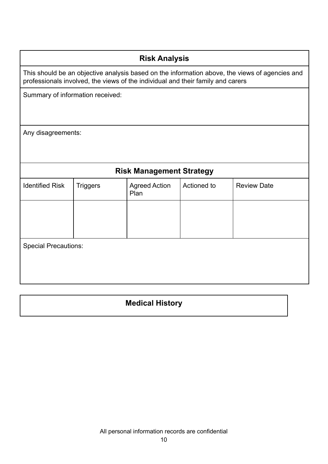#### **Risk Analysis**

This should be an objective analysis based on the information above, the views of agencies and professionals involved, the views of the individual and their family and carers

Summary of information received:

Any disagreements:

#### **Risk Management Strategy**

| <b>Identified Risk</b>      | <b>Triggers</b> | <b>Agreed Action</b><br>Plan | Actioned to | <b>Review Date</b> |  |
|-----------------------------|-----------------|------------------------------|-------------|--------------------|--|
|                             |                 |                              |             |                    |  |
|                             |                 |                              |             |                    |  |
| <b>Special Precautions:</b> |                 |                              |             |                    |  |
|                             |                 |                              |             |                    |  |
|                             |                 |                              |             |                    |  |

#### **Medical History**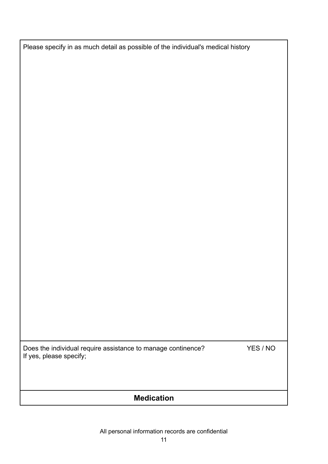Please specify in as much detail as possible of the individual's medical history

Does the individual require assistance to manage continence? YES / NO If yes, please specify;

### **Medication**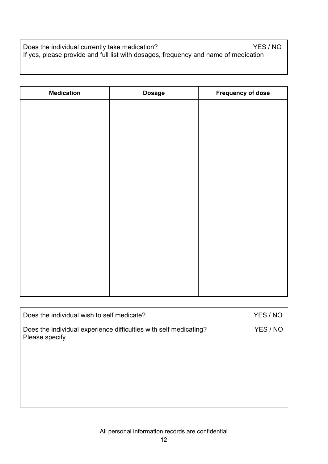Does the individual currently take medication? The example of the YES / NO If yes, please provide and full list with dosages, frequency and name of medication

| <b>Medication</b> | <b>Dosage</b> | <b>Frequency of dose</b> |
|-------------------|---------------|--------------------------|
|                   |               |                          |
|                   |               |                          |
|                   |               |                          |
|                   |               |                          |
|                   |               |                          |
|                   |               |                          |
|                   |               |                          |
|                   |               |                          |
|                   |               |                          |
|                   |               |                          |
|                   |               |                          |
|                   |               |                          |
|                   |               |                          |
|                   |               |                          |
|                   |               |                          |
|                   |               |                          |

| Does the individual wish to self medicate?                                          | YES / NO |
|-------------------------------------------------------------------------------------|----------|
| Does the individual experience difficulties with self medicating?<br>Please specify | YES / NO |
|                                                                                     |          |
|                                                                                     |          |
|                                                                                     |          |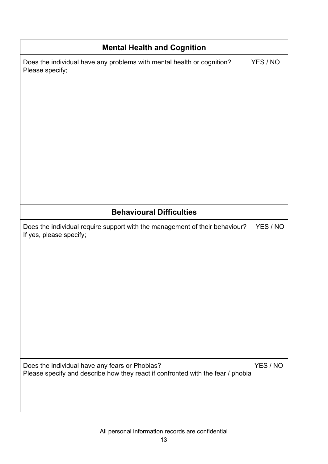| <b>Mental Health and Cognition</b>                                                                                                |          |  |  |
|-----------------------------------------------------------------------------------------------------------------------------------|----------|--|--|
| Does the individual have any problems with mental health or cognition?<br>Please specify;                                         | YES / NO |  |  |
| <b>Behavioural Difficulties</b>                                                                                                   |          |  |  |
| Does the individual require support with the management of their behaviour?<br>If yes, please specify;                            | YES / NO |  |  |
| Does the individual have any fears or Phobias?<br>Please specify and describe how they react if confronted with the fear / phobia | YES / NO |  |  |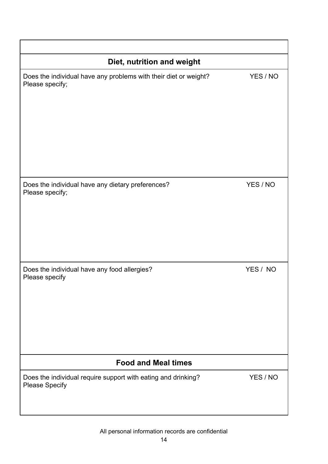| Diet, nutrition and weight                                                             |          |  |  |
|----------------------------------------------------------------------------------------|----------|--|--|
| Does the individual have any problems with their diet or weight?<br>Please specify;    | YES / NO |  |  |
| Does the individual have any dietary preferences?<br>Please specify;                   | YES / NO |  |  |
| Does the individual have any food allergies?<br>Please specify                         | YES / NO |  |  |
| <b>Food and Meal times</b>                                                             |          |  |  |
| Does the individual require support with eating and drinking?<br><b>Please Specify</b> | YES / NO |  |  |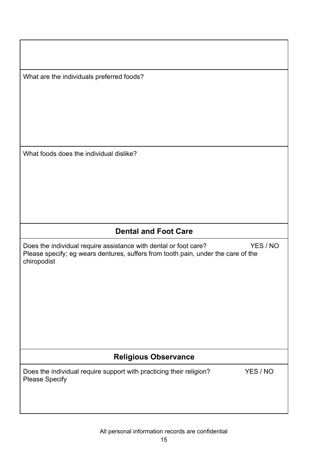What are the individuals preferred foods?

What foods does the individual dislike?

## **Dental and Foot Care**

Does the individual require assistance with dental or foot care? YES / NO Please specify; eg wears dentures, suffers from tooth pain, under the care of the chiropodist

#### **Religious Observance**

Does the individual require support with practicing their religion? YES / NO Please Specify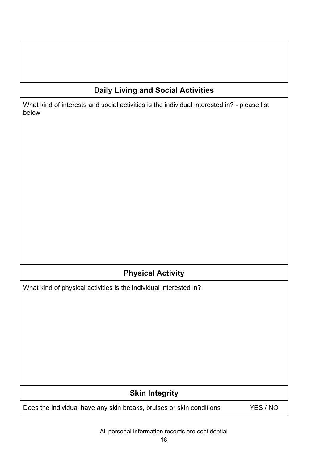### **Daily Living and Social Activities**

What kind of interests and social activities is the individual interested in? - please list below

### **Physical Activity**

What kind of physical activities is the individual interested in?

#### **Skin Integrity**

Does the individual have any skin breaks, bruises or skin conditions YES / NO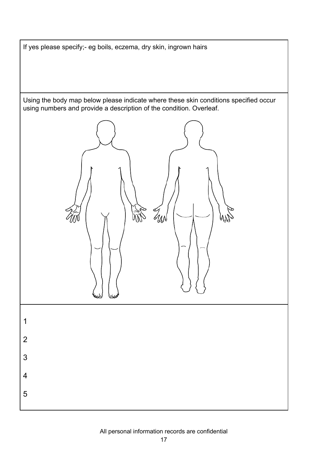If yes please specify;- eg boils, eczema, dry skin, ingrown hairs

Using the body map below please indicate where these skin conditions specified occur using numbers and provide a description of the condition. Overleaf.

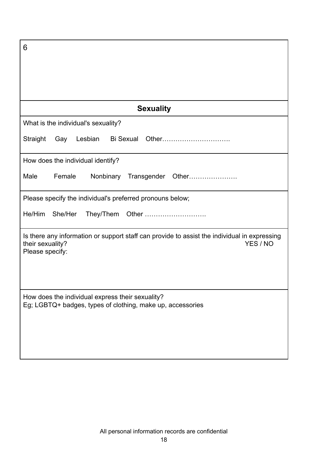| 6                                                                                                                                               |  |  |
|-------------------------------------------------------------------------------------------------------------------------------------------------|--|--|
|                                                                                                                                                 |  |  |
|                                                                                                                                                 |  |  |
|                                                                                                                                                 |  |  |
| <b>Sexuality</b>                                                                                                                                |  |  |
| What is the individual's sexuality?                                                                                                             |  |  |
| Lesbian Bi Sexual Other<br>Straight<br>Gay                                                                                                      |  |  |
| How does the individual identify?                                                                                                               |  |  |
| Male<br>Female<br>Transgender Other<br>Nonbinary                                                                                                |  |  |
| Please specify the individual's preferred pronouns below;                                                                                       |  |  |
| He/Him<br>She/Her                                                                                                                               |  |  |
| Is there any information or support staff can provide to assist the individual in expressing<br>YES / NO<br>their sexuality?<br>Please specify: |  |  |
|                                                                                                                                                 |  |  |
| How does the individual express their sexuality?<br>Eg; LGBTQ+ badges, types of clothing, make up, accessories                                  |  |  |
|                                                                                                                                                 |  |  |
|                                                                                                                                                 |  |  |
|                                                                                                                                                 |  |  |